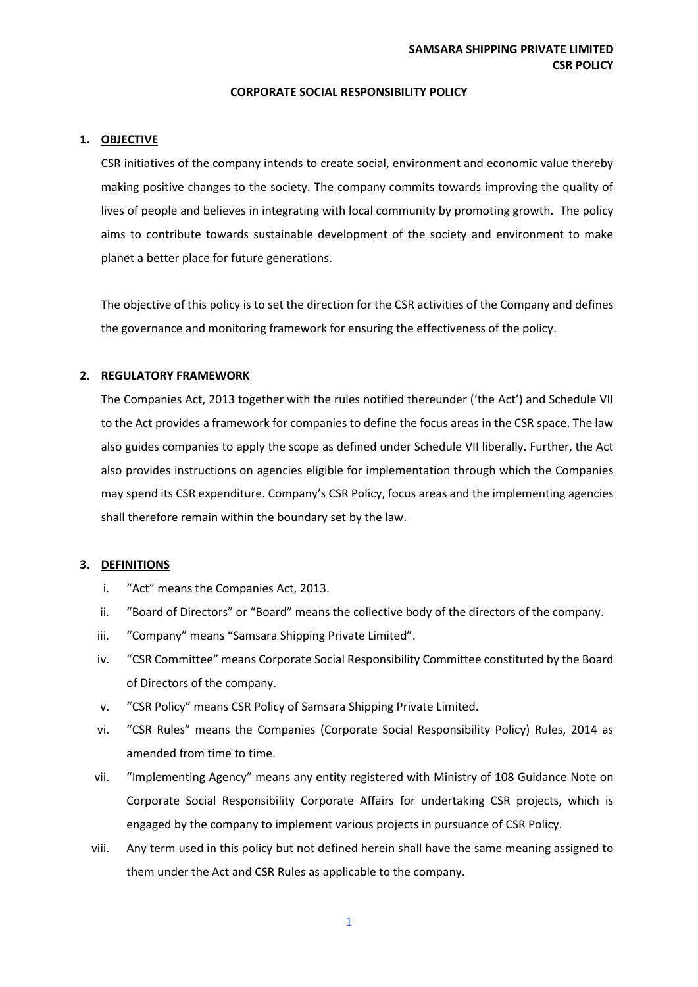#### **CORPORATE SOCIAL RESPONSIBILITY POLICY**

#### **1. OBJECTIVE**

CSR initiatives of the company intends to create social, environment and economic value thereby making positive changes to the society. The company commits towards improving the quality of lives of people and believes in integrating with local community by promoting growth. The policy aims to contribute towards sustainable development of the society and environment to make planet a better place for future generations.

The objective of this policy is to set the direction for the CSR activities of the Company and defines the governance and monitoring framework for ensuring the effectiveness of the policy.

### **2. REGULATORY FRAMEWORK**

The Companies Act, 2013 together with the rules notified thereunder ('the Act') and Schedule VII to the Act provides a framework for companies to define the focus areas in the CSR space. The law also guides companies to apply the scope as defined under Schedule VII liberally. Further, the Act also provides instructions on agencies eligible for implementation through which the Companies may spend its CSR expenditure. Company's CSR Policy, focus areas and the implementing agencies shall therefore remain within the boundary set by the law.

## **3. DEFINITIONS**

- i. "Act" means the Companies Act, 2013.
- ii. "Board of Directors" or "Board" means the collective body of the directors of the company.
- iii. "Company" means "Samsara Shipping Private Limited".
- iv. "CSR Committee" means Corporate Social Responsibility Committee constituted by the Board of Directors of the company.
- v. "CSR Policy" means CSR Policy of Samsara Shipping Private Limited.
- vi. "CSR Rules" means the Companies (Corporate Social Responsibility Policy) Rules, 2014 as amended from time to time.
- vii. "Implementing Agency" means any entity registered with Ministry of 108 Guidance Note on Corporate Social Responsibility Corporate Affairs for undertaking CSR projects, which is engaged by the company to implement various projects in pursuance of CSR Policy.
- viii. Any term used in this policy but not defined herein shall have the same meaning assigned to them under the Act and CSR Rules as applicable to the company.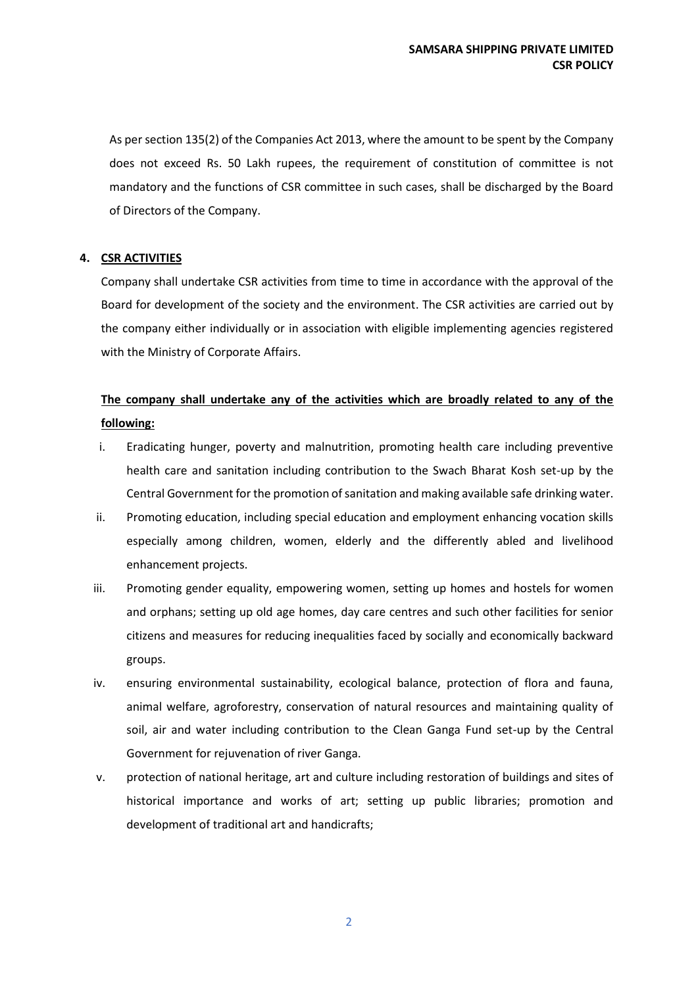As per section 135(2) of the Companies Act 2013, where the amount to be spent by the Company does not exceed Rs. 50 Lakh rupees, the requirement of constitution of committee is not mandatory and the functions of CSR committee in such cases, shall be discharged by the Board of Directors of the Company.

## **4. CSR ACTIVITIES**

Company shall undertake CSR activities from time to time in accordance with the approval of the Board for development of the society and the environment. The CSR activities are carried out by the company either individually or in association with eligible implementing agencies registered with the Ministry of Corporate Affairs.

# **The company shall undertake any of the activities which are broadly related to any of the following:**

- i. Eradicating hunger, poverty and malnutrition, promoting health care including preventive health care and sanitation including contribution to the Swach Bharat Kosh set-up by the Central Government for the promotion of sanitation and making available safe drinking water.
- ii. Promoting education, including special education and employment enhancing vocation skills especially among children, women, elderly and the differently abled and livelihood enhancement projects.
- iii. Promoting gender equality, empowering women, setting up homes and hostels for women and orphans; setting up old age homes, day care centres and such other facilities for senior citizens and measures for reducing inequalities faced by socially and economically backward groups.
- iv. ensuring environmental sustainability, ecological balance, protection of flora and fauna, animal welfare, agroforestry, conservation of natural resources and maintaining quality of soil, air and water including contribution to the Clean Ganga Fund set-up by the Central Government for rejuvenation of river Ganga.
- v. protection of national heritage, art and culture including restoration of buildings and sites of historical importance and works of art; setting up public libraries; promotion and development of traditional art and handicrafts;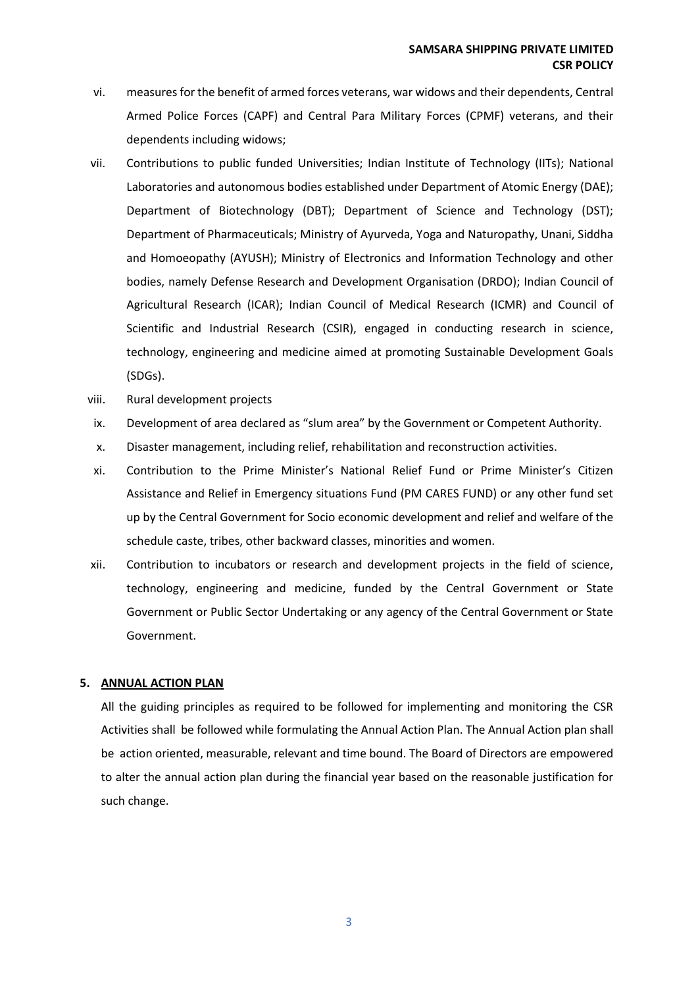- vi. measures for the benefit of armed forces veterans, war widows and their dependents, Central Armed Police Forces (CAPF) and Central Para Military Forces (CPMF) veterans, and their dependents including widows;
- vii. Contributions to public funded Universities; Indian Institute of Technology (IITs); National Laboratories and autonomous bodies established under Department of Atomic Energy (DAE); Department of Biotechnology (DBT); Department of Science and Technology (DST); Department of Pharmaceuticals; Ministry of Ayurveda, Yoga and Naturopathy, Unani, Siddha and Homoeopathy (AYUSH); Ministry of Electronics and Information Technology and other bodies, namely Defense Research and Development Organisation (DRDO); Indian Council of Agricultural Research (ICAR); Indian Council of Medical Research (ICMR) and Council of Scientific and Industrial Research (CSIR), engaged in conducting research in science, technology, engineering and medicine aimed at promoting Sustainable Development Goals (SDGs).
- viii. Rural development projects
- ix. Development of area declared as "slum area" by the Government or Competent Authority.
- x. Disaster management, including relief, rehabilitation and reconstruction activities.
- xi. Contribution to the Prime Minister's National Relief Fund or Prime Minister's Citizen Assistance and Relief in Emergency situations Fund (PM CARES FUND) or any other fund set up by the Central Government for Socio economic development and relief and welfare of the schedule caste, tribes, other backward classes, minorities and women.
- xii. Contribution to incubators or research and development projects in the field of science, technology, engineering and medicine, funded by the Central Government or State Government or Public Sector Undertaking or any agency of the Central Government or State Government.

#### **5. ANNUAL ACTION PLAN**

All the guiding principles as required to be followed for implementing and monitoring the CSR Activities shall be followed while formulating the Annual Action Plan. The Annual Action plan shall be action oriented, measurable, relevant and time bound. The Board of Directors are empowered to alter the annual action plan during the financial year based on the reasonable justification for such change.